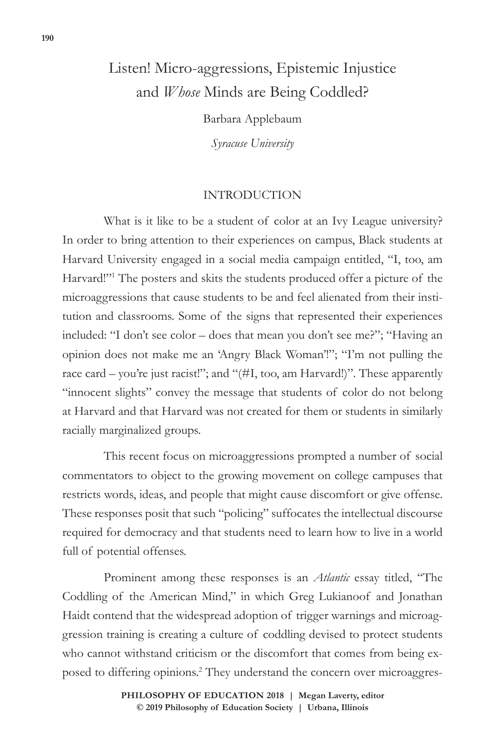# Listen! Micro-aggressions, Epistemic Injustice and *Whose* Minds are Being Coddled?

Barbara Applebaum

*Syracuse University*

### INTRODUCTION

What is it like to be a student of color at an Ivy League university? In order to bring attention to their experiences on campus, Black students at Harvard University engaged in a social media campaign entitled, "I, too, am Harvard!"<sup>1</sup> The posters and skits the students produced offer a picture of the microaggressions that cause students to be and feel alienated from their institution and classrooms. Some of the signs that represented their experiences included: "I don't see color – does that mean you don't see me?"; "Having an opinion does not make me an 'Angry Black Woman'!"; "I'm not pulling the race card – you're just racist!"; and "(#I, too, am Harvard!)". These apparently "innocent slights" convey the message that students of color do not belong at Harvard and that Harvard was not created for them or students in similarly racially marginalized groups.

This recent focus on microaggressions prompted a number of social commentators to object to the growing movement on college campuses that restricts words, ideas, and people that might cause discomfort or give offense. These responses posit that such "policing" suffocates the intellectual discourse required for democracy and that students need to learn how to live in a world full of potential offenses.

Prominent among these responses is an *Atlantic* essay titled, "The Coddling of the American Mind," in which Greg Lukianoof and Jonathan Haidt contend that the widespread adoption of trigger warnings and microaggression training is creating a culture of coddling devised to protect students who cannot withstand criticism or the discomfort that comes from being exposed to differing opinions.2 They understand the concern over microaggres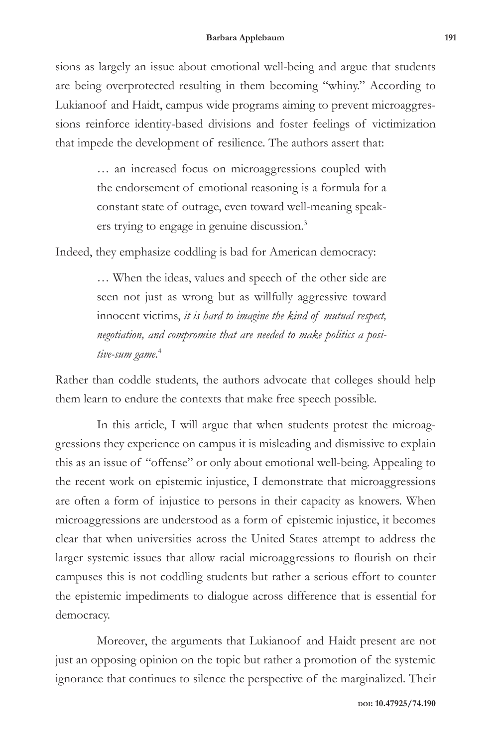sions as largely an issue about emotional well-being and argue that students are being overprotected resulting in them becoming "whiny." According to Lukianoof and Haidt, campus wide programs aiming to prevent microaggressions reinforce identity-based divisions and foster feelings of victimization that impede the development of resilience. The authors assert that:

> … an increased focus on microaggressions coupled with the endorsement of emotional reasoning is a formula for a constant state of outrage, even toward well-meaning speakers trying to engage in genuine discussion.3

Indeed, they emphasize coddling is bad for American democracy:

… When the ideas, values and speech of the other side are seen not just as wrong but as willfully aggressive toward innocent victims, *it is hard to imagine the kind of mutual respect, negotiation, and compromise that are needed to make politics a positive-sum game.*<sup>4</sup>

Rather than coddle students, the authors advocate that colleges should help them learn to endure the contexts that make free speech possible.

In this article, I will argue that when students protest the microaggressions they experience on campus it is misleading and dismissive to explain this as an issue of "offense" or only about emotional well-being. Appealing to the recent work on epistemic injustice, I demonstrate that microaggressions are often a form of injustice to persons in their capacity as knowers. When microaggressions are understood as a form of epistemic injustice, it becomes clear that when universities across the United States attempt to address the larger systemic issues that allow racial microaggressions to flourish on their campuses this is not coddling students but rather a serious effort to counter the epistemic impediments to dialogue across difference that is essential for democracy.

Moreover, the arguments that Lukianoof and Haidt present are not just an opposing opinion on the topic but rather a promotion of the systemic ignorance that continues to silence the perspective of the marginalized. Their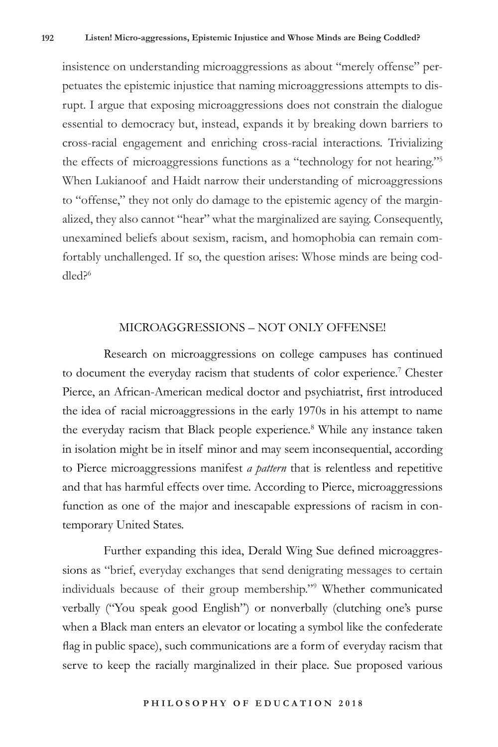insistence on understanding microaggressions as about "merely offense" perpetuates the epistemic injustice that naming microaggressions attempts to disrupt. I argue that exposing microaggressions does not constrain the dialogue essential to democracy but, instead, expands it by breaking down barriers to cross-racial engagement and enriching cross-racial interactions. Trivializing the effects of microaggressions functions as a "technology for not hearing."5 When Lukianoof and Haidt narrow their understanding of microaggressions to "offense," they not only do damage to the epistemic agency of the marginalized, they also cannot "hear" what the marginalized are saying. Consequently, unexamined beliefs about sexism, racism, and homophobia can remain comfortably unchallenged. If so, the question arises: Whose minds are being coddled?6

#### MICROAGGRESSIONS – NOT ONLY OFFENSE!

Research on microaggressions on college campuses has continued to document the everyday racism that students of color experience.<sup>7</sup> Chester Pierce, an African-American medical doctor and psychiatrist, first introduced the idea of racial microaggressions in the early 1970s in his attempt to name the everyday racism that Black people experience.<sup>8</sup> While any instance taken in isolation might be in itself minor and may seem inconsequential, according to Pierce microaggressions manifest *a pattern* that is relentless and repetitive and that has harmful effects over time. According to Pierce, microaggressions function as one of the major and inescapable expressions of racism in contemporary United States.

Further expanding this idea, Derald Wing Sue defined microaggressions as "brief, everyday exchanges that send denigrating messages to certain individuals because of their group membership."9 Whether communicated verbally ("You speak good English") or nonverbally (clutching one's purse when a Black man enters an elevator or locating a symbol like the confederate flag in public space), such communications are a form of everyday racism that serve to keep the racially marginalized in their place. Sue proposed various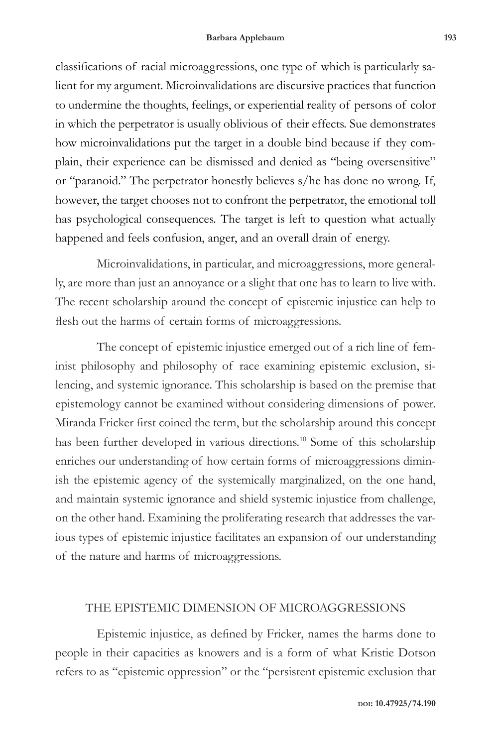classifications of racial microaggressions, one type of which is particularly salient for my argument. Microinvalidations are discursive practices that function to undermine the thoughts, feelings, or experiential reality of persons of color in which the perpetrator is usually oblivious of their effects. Sue demonstrates how microinvalidations put the target in a double bind because if they complain, their experience can be dismissed and denied as "being oversensitive" or "paranoid." The perpetrator honestly believes s/he has done no wrong. If, however, the target chooses not to confront the perpetrator, the emotional toll has psychological consequences. The target is left to question what actually happened and feels confusion, anger, and an overall drain of energy.

Microinvalidations, in particular, and microaggressions, more generally, are more than just an annoyance or a slight that one has to learn to live with. The recent scholarship around the concept of epistemic injustice can help to flesh out the harms of certain forms of microaggressions.

The concept of epistemic injustice emerged out of a rich line of feminist philosophy and philosophy of race examining epistemic exclusion, silencing, and systemic ignorance. This scholarship is based on the premise that epistemology cannot be examined without considering dimensions of power. Miranda Fricker first coined the term, but the scholarship around this concept has been further developed in various directions.<sup>10</sup> Some of this scholarship enriches our understanding of how certain forms of microaggressions diminish the epistemic agency of the systemically marginalized, on the one hand, and maintain systemic ignorance and shield systemic injustice from challenge, on the other hand. Examining the proliferating research that addresses the various types of epistemic injustice facilitates an expansion of our understanding of the nature and harms of microaggressions.

#### THE EPISTEMIC DIMENSION OF MICROAGGRESSIONS

Epistemic injustice, as defined by Fricker, names the harms done to people in their capacities as knowers and is a form of what Kristie Dotson refers to as "epistemic oppression" or the "persistent epistemic exclusion that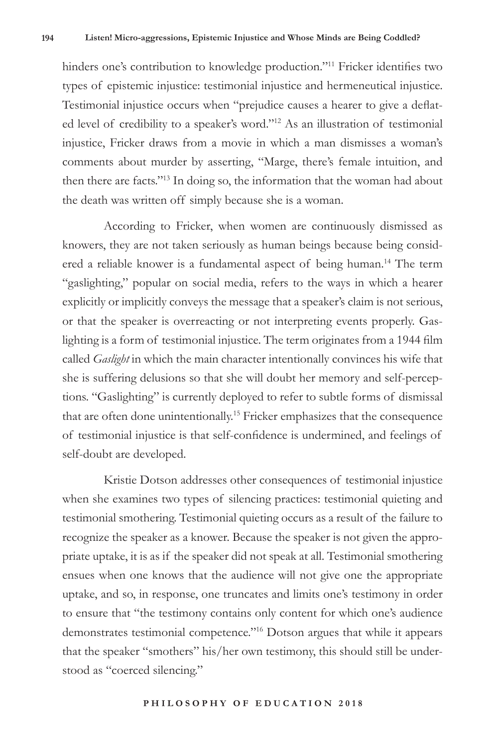hinders one's contribution to knowledge production."<sup>11</sup> Fricker identifies two types of epistemic injustice: testimonial injustice and hermeneutical injustice. Testimonial injustice occurs when "prejudice causes a hearer to give a deflated level of credibility to a speaker's word."12 As an illustration of testimonial injustice, Fricker draws from a movie in which a man dismisses a woman's comments about murder by asserting, "Marge, there's female intuition, and then there are facts."13 In doing so, the information that the woman had about the death was written off simply because she is a woman.

According to Fricker, when women are continuously dismissed as knowers, they are not taken seriously as human beings because being considered a reliable knower is a fundamental aspect of being human.<sup>14</sup> The term "gaslighting," popular on social media, refers to the ways in which a hearer explicitly or implicitly conveys the message that a speaker's claim is not serious, or that the speaker is overreacting or not interpreting events properly. Gaslighting is a form of testimonial injustice. The term originates from a 1944 film called *Gaslight* in which the main character intentionally convinces his wife that she is suffering delusions so that she will doubt her memory and self-perceptions. "Gaslighting" is currently deployed to refer to subtle forms of dismissal that are often done unintentionally.15 Fricker emphasizes that the consequence of testimonial injustice is that self-confidence is undermined, and feelings of self-doubt are developed.

Kristie Dotson addresses other consequences of testimonial injustice when she examines two types of silencing practices: testimonial quieting and testimonial smothering. Testimonial quieting occurs as a result of the failure to recognize the speaker as a knower. Because the speaker is not given the appropriate uptake, it is as if the speaker did not speak at all. Testimonial smothering ensues when one knows that the audience will not give one the appropriate uptake, and so, in response, one truncates and limits one's testimony in order to ensure that "the testimony contains only content for which one's audience demonstrates testimonial competence."16 Dotson argues that while it appears that the speaker "smothers" his/her own testimony, this should still be understood as "coerced silencing."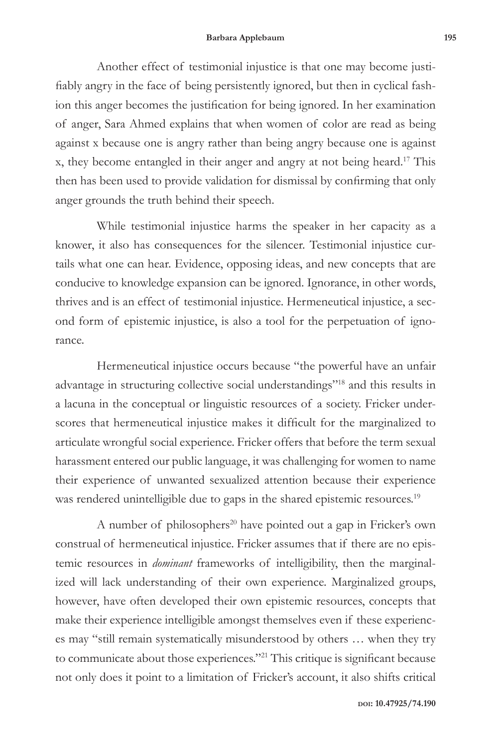Another effect of testimonial injustice is that one may become justifiably angry in the face of being persistently ignored, but then in cyclical fashion this anger becomes the justification for being ignored. In her examination of anger, Sara Ahmed explains that when women of color are read as being against x because one is angry rather than being angry because one is against x, they become entangled in their anger and angry at not being heard.17 This then has been used to provide validation for dismissal by confirming that only anger grounds the truth behind their speech.

While testimonial injustice harms the speaker in her capacity as a knower, it also has consequences for the silencer. Testimonial injustice curtails what one can hear. Evidence, opposing ideas, and new concepts that are conducive to knowledge expansion can be ignored. Ignorance, in other words, thrives and is an effect of testimonial injustice. Hermeneutical injustice, a second form of epistemic injustice, is also a tool for the perpetuation of ignorance.

Hermeneutical injustice occurs because "the powerful have an unfair advantage in structuring collective social understandings"18 and this results in a lacuna in the conceptual or linguistic resources of a society. Fricker underscores that hermeneutical injustice makes it difficult for the marginalized to articulate wrongful social experience. Fricker offers that before the term sexual harassment entered our public language, it was challenging for women to name their experience of unwanted sexualized attention because their experience was rendered unintelligible due to gaps in the shared epistemic resources.<sup>19</sup>

A number of philosophers<sup>20</sup> have pointed out a gap in Fricker's own construal of hermeneutical injustice. Fricker assumes that if there are no epistemic resources in *dominant* frameworks of intelligibility, then the marginalized will lack understanding of their own experience. Marginalized groups, however, have often developed their own epistemic resources, concepts that make their experience intelligible amongst themselves even if these experiences may "still remain systematically misunderstood by others … when they try to communicate about those experiences."21 This critique is significant because not only does it point to a limitation of Fricker's account, it also shifts critical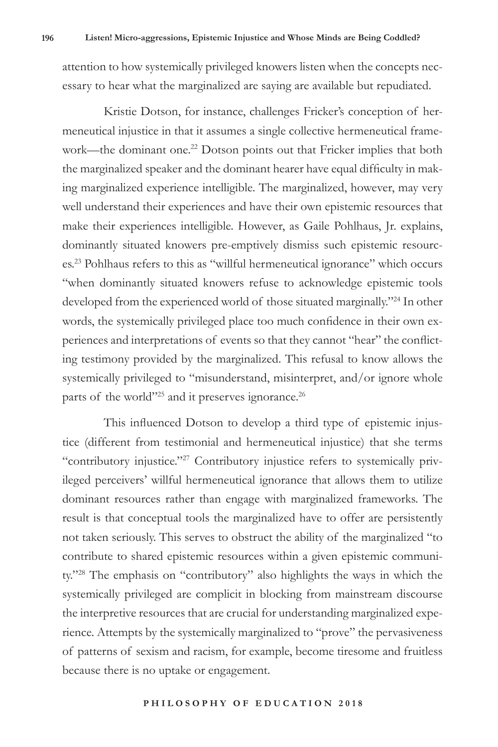attention to how systemically privileged knowers listen when the concepts necessary to hear what the marginalized are saying are available but repudiated.

Kristie Dotson, for instance, challenges Fricker's conception of hermeneutical injustice in that it assumes a single collective hermeneutical framework—the dominant one.<sup>22</sup> Dotson points out that Fricker implies that both the marginalized speaker and the dominant hearer have equal difficulty in making marginalized experience intelligible. The marginalized, however, may very well understand their experiences and have their own epistemic resources that make their experiences intelligible. However, as Gaile Pohlhaus, Jr. explains, dominantly situated knowers pre-emptively dismiss such epistemic resources.23 Pohlhaus refers to this as "willful hermeneutical ignorance" which occurs "when dominantly situated knowers refuse to acknowledge epistemic tools developed from the experienced world of those situated marginally."24 In other words, the systemically privileged place too much confidence in their own experiences and interpretations of events so that they cannot "hear" the conflicting testimony provided by the marginalized. This refusal to know allows the systemically privileged to "misunderstand, misinterpret, and/or ignore whole parts of the world"<sup>25</sup> and it preserves ignorance.<sup>26</sup>

This influenced Dotson to develop a third type of epistemic injustice (different from testimonial and hermeneutical injustice) that she terms "contributory injustice."27 Contributory injustice refers to systemically privileged perceivers' willful hermeneutical ignorance that allows them to utilize dominant resources rather than engage with marginalized frameworks. The result is that conceptual tools the marginalized have to offer are persistently not taken seriously. This serves to obstruct the ability of the marginalized "to contribute to shared epistemic resources within a given epistemic community."28 The emphasis on "contributory" also highlights the ways in which the systemically privileged are complicit in blocking from mainstream discourse the interpretive resources that are crucial for understanding marginalized experience. Attempts by the systemically marginalized to "prove" the pervasiveness of patterns of sexism and racism, for example, become tiresome and fruitless because there is no uptake or engagement.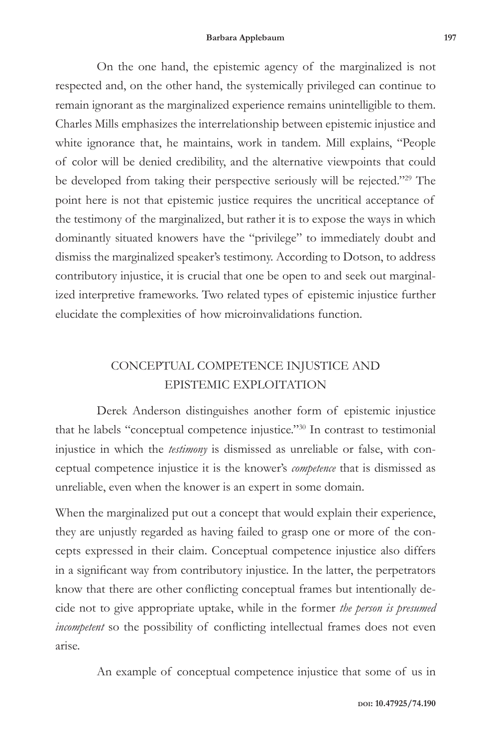On the one hand, the epistemic agency of the marginalized is not respected and, on the other hand, the systemically privileged can continue to remain ignorant as the marginalized experience remains unintelligible to them. Charles Mills emphasizes the interrelationship between epistemic injustice and white ignorance that, he maintains, work in tandem. Mill explains, "People of color will be denied credibility, and the alternative viewpoints that could be developed from taking their perspective seriously will be rejected."29 The point here is not that epistemic justice requires the uncritical acceptance of the testimony of the marginalized, but rather it is to expose the ways in which dominantly situated knowers have the "privilege" to immediately doubt and dismiss the marginalized speaker's testimony. According to Dotson, to address contributory injustice, it is crucial that one be open to and seek out marginalized interpretive frameworks. Two related types of epistemic injustice further elucidate the complexities of how microinvalidations function.

# CONCEPTUAL COMPETENCE INJUSTICE AND EPISTEMIC EXPLOITATION

Derek Anderson distinguishes another form of epistemic injustice that he labels "conceptual competence injustice."30 In contrast to testimonial injustice in which the *testimony* is dismissed as unreliable or false, with conceptual competence injustice it is the knower's *competence* that is dismissed as unreliable, even when the knower is an expert in some domain.

When the marginalized put out a concept that would explain their experience, they are unjustly regarded as having failed to grasp one or more of the concepts expressed in their claim. Conceptual competence injustice also differs in a significant way from contributory injustice. In the latter, the perpetrators know that there are other conflicting conceptual frames but intentionally decide not to give appropriate uptake, while in the former *the person is presumed incompetent* so the possibility of conflicting intellectual frames does not even arise.

An example of conceptual competence injustice that some of us in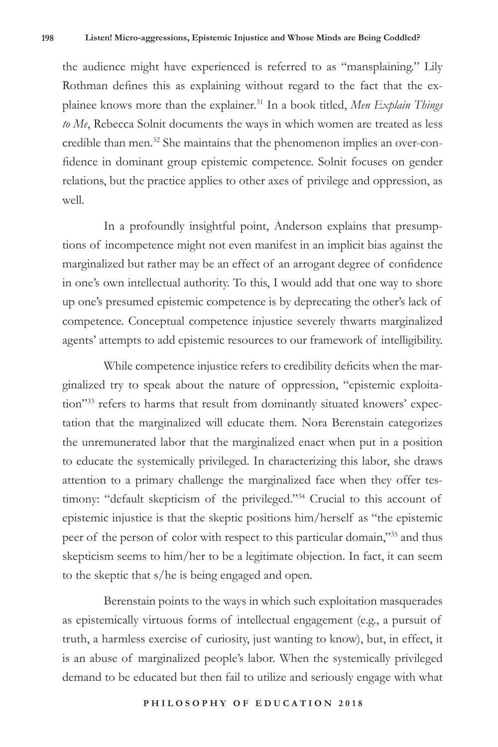the audience might have experienced is referred to as "mansplaining." Lily Rothman defines this as explaining without regard to the fact that the explainee knows more than the explainer.31 In a book titled, *Men Explain Things to Me*, Rebecca Solnit documents the ways in which women are treated as less credible than men.<sup>32</sup> She maintains that the phenomenon implies an over-confidence in dominant group epistemic competence. Solnit focuses on gender relations, but the practice applies to other axes of privilege and oppression, as well.

In a profoundly insightful point, Anderson explains that presumptions of incompetence might not even manifest in an implicit bias against the marginalized but rather may be an effect of an arrogant degree of confidence in one's own intellectual authority. To this, I would add that one way to shore up one's presumed epistemic competence is by deprecating the other's lack of competence. Conceptual competence injustice severely thwarts marginalized agents' attempts to add epistemic resources to our framework of intelligibility.

While competence injustice refers to credibility deficits when the marginalized try to speak about the nature of oppression, "epistemic exploitation"33 refers to harms that result from dominantly situated knowers' expectation that the marginalized will educate them. Nora Berenstain categorizes the unremunerated labor that the marginalized enact when put in a position to educate the systemically privileged. In characterizing this labor, she draws attention to a primary challenge the marginalized face when they offer testimony: "default skepticism of the privileged."<sup>34</sup> Crucial to this account of epistemic injustice is that the skeptic positions him/herself as "the epistemic peer of the person of color with respect to this particular domain,"35 and thus skepticism seems to him/her to be a legitimate objection. In fact, it can seem to the skeptic that s/he is being engaged and open.

Berenstain points to the ways in which such exploitation masquerades as epistemically virtuous forms of intellectual engagement (e.g., a pursuit of truth, a harmless exercise of curiosity, just wanting to know), but, in effect, it is an abuse of marginalized people's labor. When the systemically privileged demand to be educated but then fail to utilize and seriously engage with what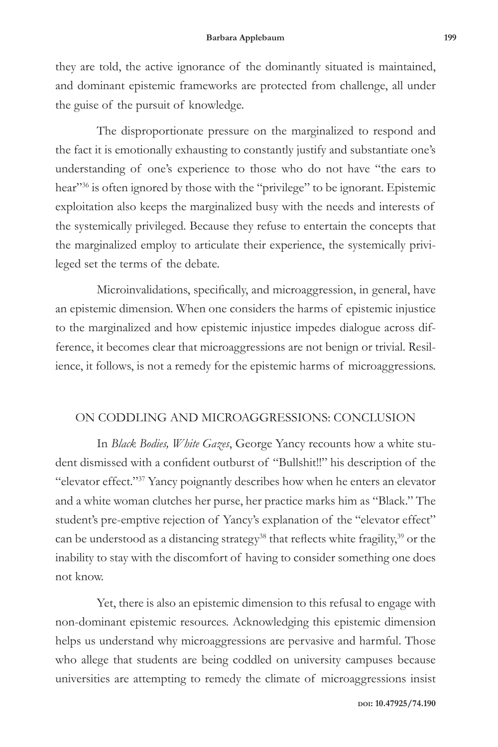they are told, the active ignorance of the dominantly situated is maintained, and dominant epistemic frameworks are protected from challenge, all under the guise of the pursuit of knowledge.

The disproportionate pressure on the marginalized to respond and the fact it is emotionally exhausting to constantly justify and substantiate one's understanding of one's experience to those who do not have "the ears to hear"<sup>36</sup> is often ignored by those with the "privilege" to be ignorant. Epistemic exploitation also keeps the marginalized busy with the needs and interests of the systemically privileged. Because they refuse to entertain the concepts that the marginalized employ to articulate their experience, the systemically privileged set the terms of the debate.

Microinvalidations, specifically, and microaggression, in general, have an epistemic dimension. When one considers the harms of epistemic injustice to the marginalized and how epistemic injustice impedes dialogue across difference, it becomes clear that microaggressions are not benign or trivial. Resilience, it follows, is not a remedy for the epistemic harms of microaggressions.

## ON CODDLING AND MICROAGGRESSIONS: CONCLUSION

In *Black Bodies, White Gazes*, George Yancy recounts how a white student dismissed with a confident outburst of "Bullshit!!" his description of the "elevator effect."37 Yancy poignantly describes how when he enters an elevator and a white woman clutches her purse, her practice marks him as "Black." The student's pre-emptive rejection of Yancy's explanation of the "elevator effect" can be understood as a distancing strategy<sup>38</sup> that reflects white fragility,<sup>39</sup> or the inability to stay with the discomfort of having to consider something one does not know.

Yet, there is also an epistemic dimension to this refusal to engage with non-dominant epistemic resources. Acknowledging this epistemic dimension helps us understand why microaggressions are pervasive and harmful. Those who allege that students are being coddled on university campuses because universities are attempting to remedy the climate of microaggressions insist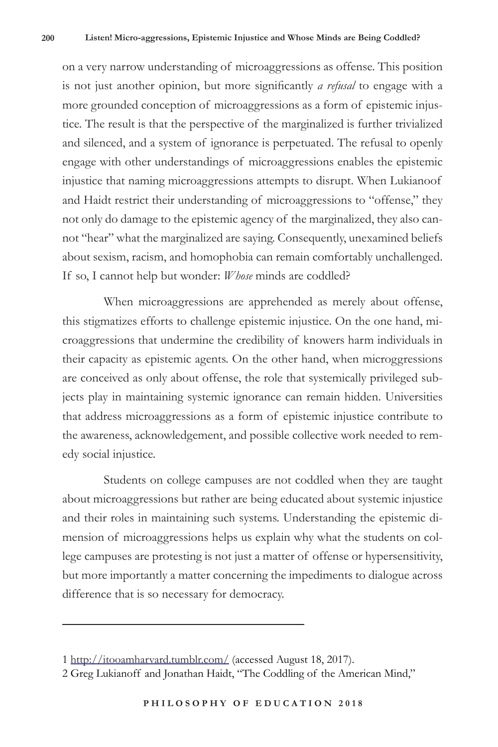on a very narrow understanding of microaggressions as offense. This position is not just another opinion, but more significantly *a refusal* to engage with a more grounded conception of microaggressions as a form of epistemic injustice. The result is that the perspective of the marginalized is further trivialized and silenced, and a system of ignorance is perpetuated. The refusal to openly engage with other understandings of microaggressions enables the epistemic injustice that naming microaggressions attempts to disrupt. When Lukianoof and Haidt restrict their understanding of microaggressions to "offense," they not only do damage to the epistemic agency of the marginalized, they also cannot "hear" what the marginalized are saying. Consequently, unexamined beliefs about sexism, racism, and homophobia can remain comfortably unchallenged. If so, I cannot help but wonder: *Whose* minds are coddled?

When microaggressions are apprehended as merely about offense, this stigmatizes efforts to challenge epistemic injustice. On the one hand, microaggressions that undermine the credibility of knowers harm individuals in their capacity as epistemic agents. On the other hand, when microggressions are conceived as only about offense, the role that systemically privileged subjects play in maintaining systemic ignorance can remain hidden. Universities that address microaggressions as a form of epistemic injustice contribute to the awareness, acknowledgement, and possible collective work needed to remedy social injustice.

Students on college campuses are not coddled when they are taught about microaggressions but rather are being educated about systemic injustice and their roles in maintaining such systems. Understanding the epistemic dimension of microaggressions helps us explain why what the students on college campuses are protesting is not just a matter of offense or hypersensitivity, but more importantly a matter concerning the impediments to dialogue across difference that is so necessary for democracy.

<sup>1</sup> http://itooamharvard.tumblr.com/ (accessed August 18, 2017).

<sup>2</sup> Greg Lukianoff and Jonathan Haidt, "The Coddling of the American Mind,"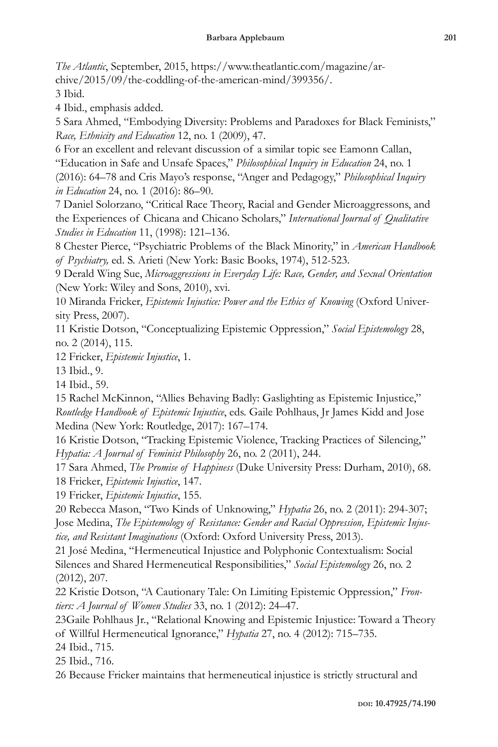*The Atlantic*, September, 2015, https://www.theatlantic.com/magazine/archive/2015/09/the-coddling-of-the-american-mind/399356/.

3 Ibid.

4 Ibid., emphasis added.

5 Sara Ahmed, "Embodying Diversity: Problems and Paradoxes for Black Feminists," *Race, Ethnicity and Education* 12, no. 1 (2009), 47.

6 For an excellent and relevant discussion of a similar topic see Eamonn Callan, "Education in Safe and Unsafe Spaces," *Philosophical Inquiry in Education* 24, no. 1 (2016): 64–78 and Cris Mayo's response, "Anger and Pedagogy," *Philosophical Inquiry in Education* 24, no. 1 (2016): 86–90.

7 Daniel Solorzano, "Critical Race Theory, Racial and Gender Microaggressons, and the Experiences of Chicana and Chicano Scholars," *International Journal of Qualitative Studies in Education* 11, (1998): 121–136.

8 Chester Pierce, "Psychiatric Problems of the Black Minority," in *American Handbook of Psychiatry,* ed. S. Arieti (New York: Basic Books, 1974), 512-523.

9 Derald Wing Sue, *Microaggressions in Everyday Life: Race, Gender, and Sexual Orientation* (New York: Wiley and Sons, 2010), xvi.

10 Miranda Fricker, *Epistemic Injustice: Power and the Ethics of Knowing* (Oxford University Press, 2007).

11 Kristie Dotson, "Conceptualizing Epistemic Oppression," *Social Epistemology* 28, no. 2 (2014), 115.

12 Fricker, *Epistemic Injustice*, 1.

13 Ibid., 9.

14 Ibid., 59.

15 Rachel McKinnon, "Allies Behaving Badly: Gaslighting as Epistemic Injustice," *Routledge Handbook of Epistemic Injustice*, eds. Gaile Pohlhaus, Jr James Kidd and Jose Medina (New York: Routledge, 2017): 167–174.

16 Kristie Dotson, "Tracking Epistemic Violence, Tracking Practices of Silencing," *Hypatia: A Journal of Feminist Philosophy* 26, no. 2 (2011), 244.

17 Sara Ahmed, *The Promise of Happiness* (Duke University Press: Durham, 2010), 68. 18 Fricker, *Epistemic Injustice*, 147.

19 Fricker, *Epistemic Injustice*, 155.

20 Rebecca Mason, "Two Kinds of Unknowing," *Hypatia* 26, no. 2 (2011): 294-307; Jose Medina, *The Epistemology of Resistance: Gender and Racial Oppression, Epistemic Injustice, and Resistant Imaginations* (Oxford: Oxford University Press, 2013).

21 José Medina, "Hermeneutical Injustice and Polyphonic Contextualism: Social Silences and Shared Hermeneutical Responsibilities," *Social Epistemology* 26, no. 2 (2012), 207.

22 Kristie Dotson, "A Cautionary Tale: On Limiting Epistemic Oppression," *Frontiers: A Journal of Women Studies* 33, no. 1 (2012): 24–47.

23Gaile Pohlhaus Jr., "Relational Knowing and Epistemic Injustice: Toward a Theory of Willful Hermeneutical Ignorance," *Hypatia* 27, no. 4 (2012): 715–735.

24 Ibid., 715.

25 Ibid., 716.

26 Because Fricker maintains that hermeneutical injustice is strictly structural and